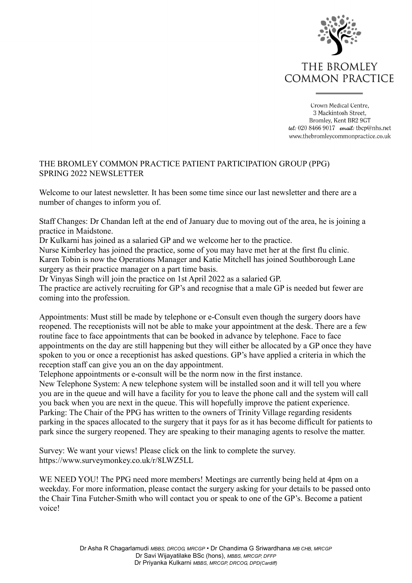

Crown Medical Centre. 3 Mackintosh Street. Bromley, Kent BR2 9GT tel: 020 8466 9017 email: tbcp@nhs.net www.thebromleycommonpractice.co.uk

## THE BROMLEY COMMON PRACTICE PATIENT PARTICIPATION GROUP (PPG) SPRING 2022 NEWSLETTER

Welcome to our latest newsletter. It has been some time since our last newsletter and there are a number of changes to inform you of.

Staff Changes: Dr Chandan left at the end of January due to moving out of the area, he is joining a practice in Maidstone.

Dr Kulkarni has joined as a salaried GP and we welcome her to the practice.

Nurse Kimberley has joined the practice, some of you may have met her at the first flu clinic. Karen Tobin is now the Operations Manager and Katie Mitchell has joined Southborough Lane surgery as their practice manager on a part time basis.

Dr Vinyas Singh will join the practice on 1st April 2022 as a salaried GP.

The practice are actively recruiting for GP's and recognise that a male GP is needed but fewer are coming into the profession.

Appointments: Must still be made by telephone or e-Consult even though the surgery doors have reopened. The receptionists will not be able to make your appointment at the desk. There are a few routine face to face appointments that can be booked in advance by telephone. Face to face appointments on the day are still happening but they will either be allocated by a GP once they have spoken to you or once a receptionist has asked questions. GP's have applied a criteria in which the reception staff can give you an on the day appointment.

Telephone appointments or e-consult will be the norm now in the first instance.

New Telephone System: A new telephone system will be installed soon and it will tell you where you are in the queue and will have a facility for you to leave the phone call and the system will call you back when you are next in the queue. This will hopefully improve the patient experience. Parking: The Chair of the PPG has written to the owners of Trinity Village regarding residents parking in the spaces allocated to the surgery that it pays for as it has become difficult for patients to park since the surgery reopened. They are speaking to their managing agents to resolve the matter.

Survey: We want your views! Please click on the link to complete the survey. https://www.surveymonkey.co.uk/r/8LWZ5LL

WE NEED YOU! The PPG need more members! Meetings are currently being held at 4pm on a weekday. For more information, please contact the surgery asking for your details to be passed onto the Chair Tina Futcher-Smith who will contact you or speak to one of the GP's. Become a patient voice!